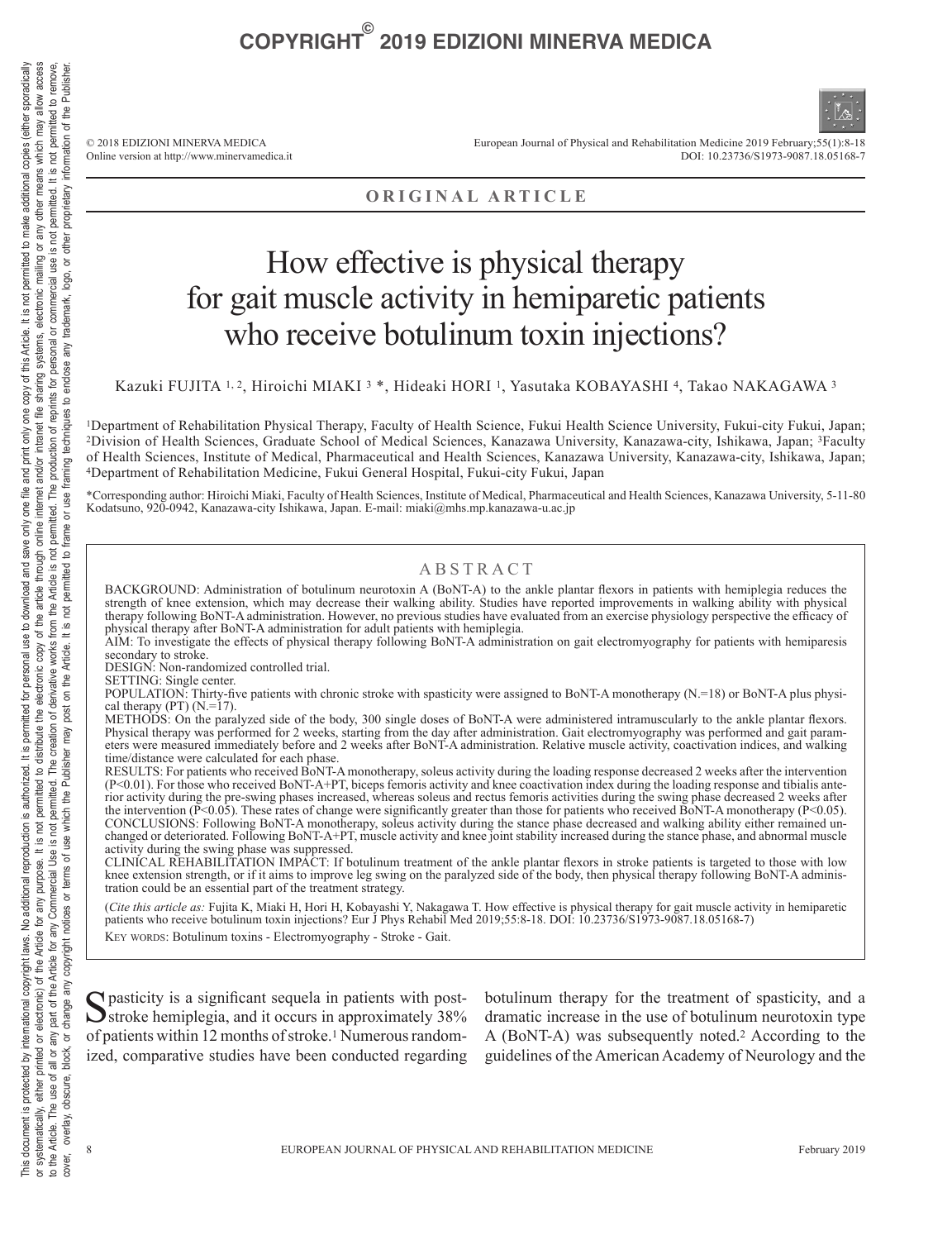© 2018 EDIZIONI MINERVA MEDICA Online version at http://www.minervamedica.it

European Journal of Physical and Rehabilitation Medicine 2019 February;55(1):8-18 DOI: 10.23736/S1973-9087.18.05168-7

### **ORIGINAL ARTICLE**

## How effective is physical therapy for gait muscle activity in hemiparetic patients who receive botulinum toxin injections?

Kazuki FUJITA <sup>1, 2</sup>, Hiroichi MIAKI<sup>3</sup>\*, Hideaki HORI<sup>1</sup>, Yasutaka KOBAYASHI<sup>4</sup>, Takao NAKAGAWA<sup>3</sup>

<sup>1</sup>Department of Rehabilitation Physical Therapy, Faculty of Health Science, Fukui Health Science University, Fukui-city Fukui, Japan; <sup>2</sup>Division of Health Sciences, Graduate School of Medical Sciences, Kanazawa Universit of Health Sciences, Institute of Medical, Pharmaceutical and Health Sciences, Kanazawa University, Kanazawa-city, Ishikawa, Japan; 4Department of Rehabilitation Medicine, Fukui General Hospital, Fukui-city Fukui, Japan

\*Corresponding author: Hiroichi Miaki, Faculty of Health Sciences, Institute of Medical, Pharmaceutical and Health Sciences, Kanazawa University, 5-11-80 Kodatsuno, 920-0942, Kanazawa-city Ishikawa, Japan. E-mail: miaki@mhs.mp.kanazawa-u.ac.jp

### ABSTRACT

BACKGROUND: Administration of botulinum neurotoxin A (BoNT-A) to the ankle plantar flexors in patients with hemiplegia reduces the strength of knee extension, which may decrease their walking ability. Studies have reported improvements in walking ability with physical therapy following BoNT-A administration. However, no previous studies have evaluated from an exercise physiology perspective the efficacy of physical therapy after BoNT-A administration for adult patients with hemiplegia.

AIM: To investigate the effects of physical therapy following BoNT-A administration on gait electromyography for patients with hemiparesis secondary to stroke.

DESIGN: Non-randomized controlled trial.

SETTING: Single center.

POPULATION: Thirty-five patients with chronic stroke with spasticity were assigned to BoNT-A monotherapy (N.=18) or BoNT-A plus physical therapy (PT)  $(N=17)$ .

METHODS: On the paralyzed side of the body, 300 single doses of BoNT-A were administered intramuscularly to the ankle plantar flexors. Physical therapy was performed for 2 weeks, starting from the day after administration. Gait electromyography was performed and gait parameters were measured immediately before and 2 weeks after BoNT-A administration. Relative muscle activity, coactivation indices, and walking time/distance were calculated for each phase.

RESULTS: For patients who received BoNT-A monotherapy, soleus activity during the loading response decreased 2 weeks after the intervention (P<0.01). For those who received BoNT-A+PT, biceps femoris activity and knee coactivation index during the loading response and tibialis anterior activity during the pre-swing phases increased, whereas soleus and rectus femoris activities during the swing phase decreased 2 weeks after the intervention (P<0.05). These rates of change were significantly greater than those for patients who received BoNT-A monotherapy (P<0.05). CONCLUSIONS: Following BoNT-A monotherapy, soleus activity during the stance pha changed or deteriorated. Following BoNT-A+PT, muscle activity and knee joint stability increased during the stance phase, and abnormal muscle activity during the swing phase was suppressed.

CLINICAL REHABILITATION IMPACT: If botulinum treatment of the ankle plantar flexors in stroke patients is targeted to those with low knee extension strength, or if it aims to improve leg swing on the paralyzed side of the body, then physical therapy following BoNT-A administration could be an essential part of the treatment strategy.

(*Cite this article as:* Fujita K, Miaki H, Hori H, Kobayashi Y, Nakagawa T. How effective is physical therapy for gait muscle activity in hemiparetic patients who receive botulinum toxin injections? Eur J Phys Rehabil Med 2019;55:8-18. DOI: 10.23736/S1973-9087.18.05168-7)

KEY WORDS: Botulinum toxins - Electromyography - Stroke - Gait.

Spasticity is a significant sequela in patients with post-<br>Stroke hemiplegia, and it occurs in approximately 38% of patients within 12 months of stroke.1 Numerous randomized, comparative studies have been conducted regarding

botulinum therapy for the treatment of spasticity, and a dramatic increase in the use of botulinum neurotoxin type A (BoNT-A) was subsequently noted.<sup>2</sup> According to the guidelines of the American Academy of Neurology and the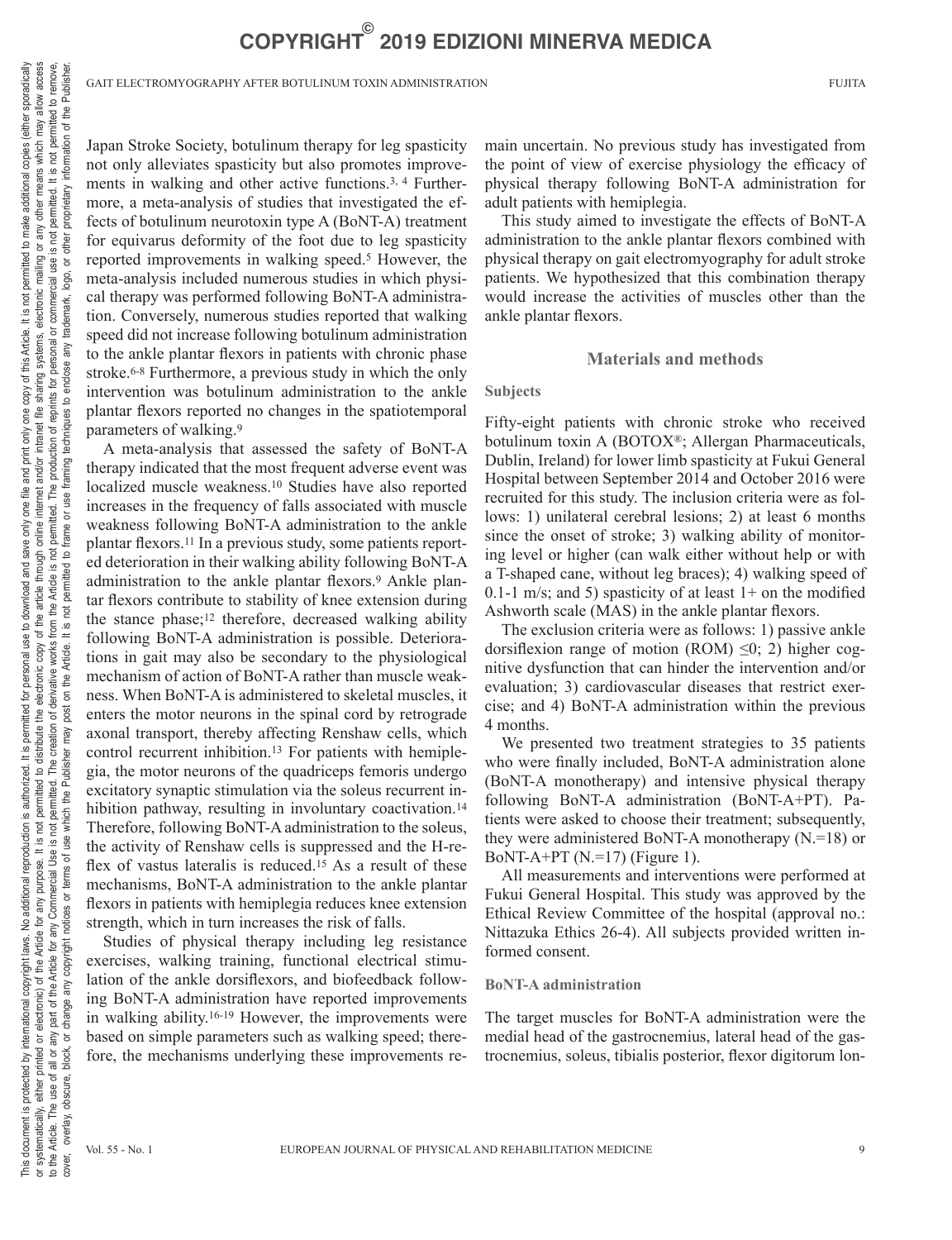GAIT ELECTROMYOGRAPHY AFTER BOTULINUM TOXIN ADMINISTRATION FUJITA

Japan Stroke Society, botulinum therapy for leg spasticity not only alleviates spasticity but also promotes improvements in walking and other active functions.3, 4 Furthermore, a meta-analysis of studies that investigated the effects of botulinum neurotoxin type A (BoNT-A) treatment for equivarus deformity of the foot due to leg spasticity reported improvements in walking speed.5 However, the meta-analysis included numerous studies in which physical therapy was performed following BoNT-A administration. Conversely, numerous studies reported that walking speed did not increase following botulinum administration to the ankle plantar flexors in patients with chronic phase stroke.6-8 Furthermore, a previous study in which the only intervention was botulinum administration to the ankle plantar flexors reported no changes in the spatiotemporal parameters of walking.9

A meta-analysis that assessed the safety of BoNT-A therapy indicated that the most frequent adverse event was localized muscle weakness.10 Studies have also reported increases in the frequency of falls associated with muscle weakness following BoNT-A administration to the ankle plantar flexors.<sup>11</sup> In a previous study, some patients reported deterioration in their walking ability following BoNT-A administration to the ankle plantar flexors.<sup>9</sup> Ankle plantar flexors contribute to stability of knee extension during the stance phase;12 therefore, decreased walking ability following BoNT-A administration is possible. Deteriorations in gait may also be secondary to the physiological mechanism of action of BoNT-A rather than muscle weakness. When BoNT-A is administered to skeletal muscles, it enters the motor neurons in the spinal cord by retrograde axonal transport, thereby affecting Renshaw cells, which control recurrent inhibition.13 For patients with hemiplegia, the motor neurons of the quadriceps femoris undergo excitatory synaptic stimulation via the soleus recurrent inhibition pathway, resulting in involuntary coactivation.<sup>14</sup> Therefore, following BoNT-A administration to the soleus, the activity of Renshaw cells is suppressed and the H-reflex of vastus lateralis is reduced.<sup>15</sup> As a result of these mechanisms, BoNT-A administration to the ankle plantar flexors in patients with hemiplegia reduces knee extension strength, which in turn increases the risk of falls.

Studies of physical therapy including leg resistance exercises, walking training, functional electrical stimulation of the ankle dorsiflexors, and biofeedback following BoNT-A administration have reported improvements in walking ability.16-19 However, the improvements were based on simple parameters such as walking speed; therefore, the mechanisms underlying these improvements remain uncertain. No previous study has investigated from the point of view of exercise physiology the efficacy of physical therapy following BoNT-A administration for adult patients with hemiplegia.

This study aimed to investigate the effects of BoNT-A administration to the ankle plantar flexors combined with physical therapy on gait electromyography for adult stroke patients. We hypothesized that this combination therapy would increase the activities of muscles other than the ankle plantar flexors.

#### **Materials and methods**

**Subjects**

Fifty-eight patients with chronic stroke who received botulinum toxin A (BOTOX®; Allergan Pharmaceuticals, Dublin, Ireland) for lower limb spasticity at Fukui General Hospital between September 2014 and October 2016 were recruited for this study. The inclusion criteria were as follows: 1) unilateral cerebral lesions; 2) at least 6 months since the onset of stroke; 3) walking ability of monitoring level or higher (can walk either without help or with a T-shaped cane, without leg braces); 4) walking speed of 0.1-1 m/s; and 5) spasticity of at least  $1+$  on the modified Ashworth scale (MAS) in the ankle plantar flexors.

The exclusion criteria were as follows: 1) passive ankle dorsiflexion range of motion (ROM)  $\leq$ 0; 2) higher cognitive dysfunction that can hinder the intervention and/or evaluation; 3) cardiovascular diseases that restrict exercise; and 4) BoNT-A administration within the previous 4 months.

We presented two treatment strategies to 35 patients who were finally included, BoNT-A administration alone (BoNT-A monotherapy) and intensive physical therapy following BoNT-A administration (BoNT-A+PT). Patients were asked to choose their treatment; subsequently, they were administered BoNT-A monotherapy (N.=18) or BoNT-A+PT  $(N=17)$  (Figure 1).

All measurements and interventions were performed at Fukui General Hospital. This study was approved by the Ethical Review Committee of the hospital (approval no.: Nittazuka Ethics 26-4). All subjects provided written informed consent.

#### **BoNT-A administration**

The target muscles for BoNT-A administration were the medial head of the gastrocnemius, lateral head of the gastrocnemius, soleus, tibialis posterior, flexor digitorum lon-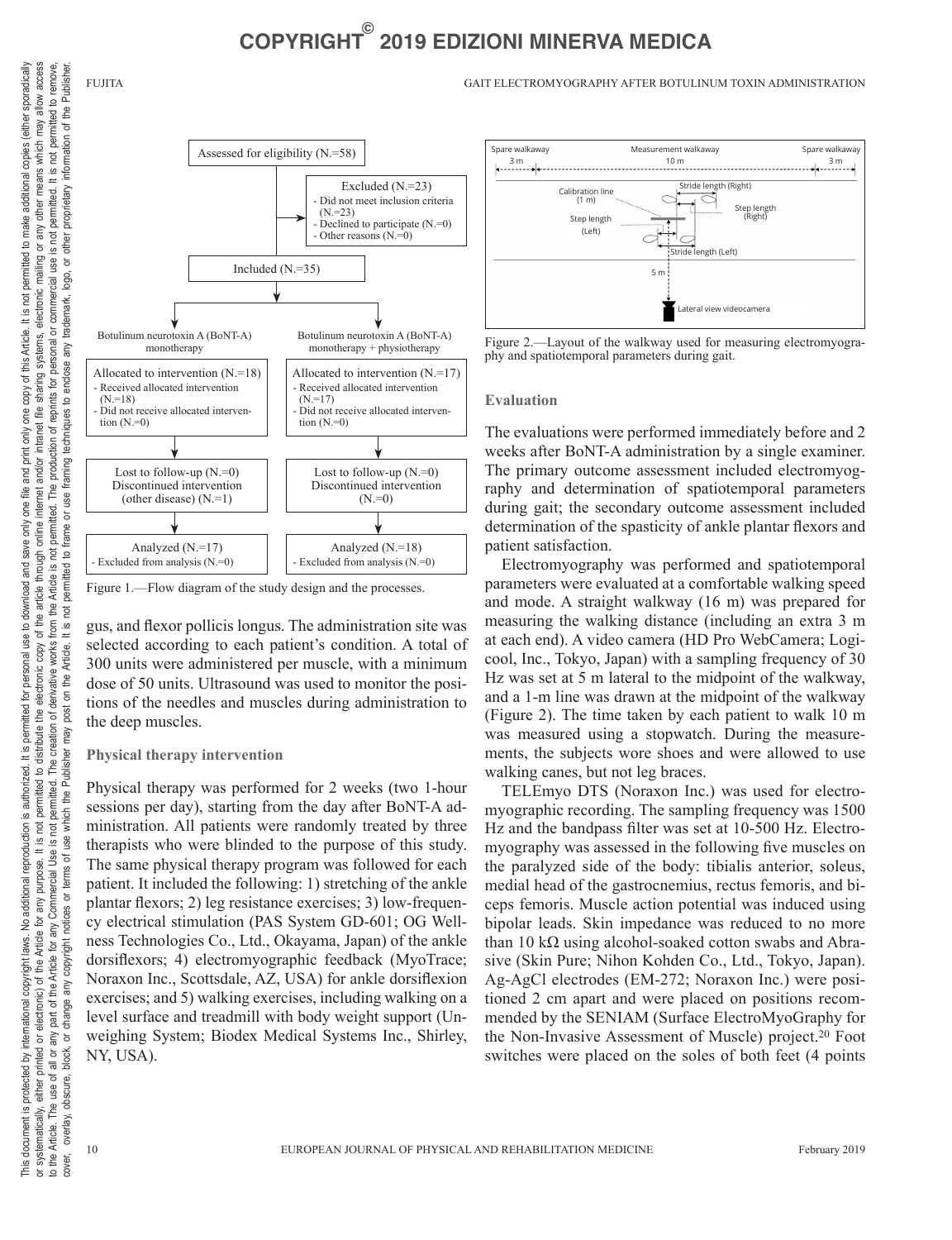



Figure 1.—Flow diagram of the study design and the processes.

gus, and flexor pollicis longus. The administration site was selected according to each patient's condition. A total of 300 units were administered per muscle, with a minimum dose of 50 units. Ultrasound was used to monitor the positions of the needles and muscles during administration to the deep muscles.

#### **Physical therapy intervention**

Physical therapy was performed for 2 weeks (two 1-hour sessions per day), starting from the day after BoNT-A administration. All patients were randomly treated by three therapists who were blinded to the purpose of this study. The same physical therapy program was followed for each patient. It included the following: 1) stretching of the ankle plantar flexors; 2) leg resistance exercises; 3) low-frequency electrical stimulation (PAS System GD-601; OG Wellness Technologies Co., Ltd., Okayama, Japan) of the ankle dorsiflexors; 4) electromyographic feedback (MyoTrace; Noraxon Inc., Scottsdale, AZ, USA) for ankle dorsiflexion exercises; and 5) walking exercises, including walking on a level surface and treadmill with body weight support (Unweighing System; Biodex Medical Systems Inc., Shirley, NY, USA).

FUJITA GAIT ELECTROMYOGRAPHY AFTER BOTULINUM TOXIN ADMINISTRATION



Figure 2.—Layout of the walkway used for measuring electromyography and spatiotemporal parameters during gait.

#### **Evaluation**

The evaluations were performed immediately before and 2 weeks after BoNT-A administration by a single examiner. The primary outcome assessment included electromyography and determination of spatiotemporal parameters during gait; the secondary outcome assessment included determination of the spasticity of ankle plantar flexors and patient satisfaction.

Electromyography was performed and spatiotemporal parameters were evaluated at a comfortable walking speed and mode. A straight walkway (16 m) was prepared for measuring the walking distance (including an extra 3 m at each end). A video camera (HD Pro WebCamera; Logicool, Inc., Tokyo, Japan) with a sampling frequency of 30 Hz was set at 5 m lateral to the midpoint of the walkway, and a 1-m line was drawn at the midpoint of the walkway (Figure 2). The time taken by each patient to walk 10 m was measured using a stopwatch. During the measurements, the subjects wore shoes and were allowed to use walking canes, but not leg braces.

TELEmyo DTS (Noraxon Inc.) was used for electromyographic recording. The sampling frequency was 1500 Hz and the bandpass filter was set at 10-500 Hz. Electromyography was assessed in the following five muscles on the paralyzed side of the body: tibialis anterior, soleus, medial head of the gastrocnemius, rectus femoris, and biceps femoris. Muscle action potential was induced using bipolar leads. Skin impedance was reduced to no more than 10 kΩ using alcohol-soaked cotton swabs and Abrasive (Skin Pure; Nihon Kohden Co., Ltd., Tokyo, Japan). Ag-AgCl electrodes (EM-272; Noraxon Inc.) were positioned 2 cm apart and were placed on positions recommended by the SENIAM (Surface ElectroMyoGraphy for the Non-Invasive Assessment of Muscle) project.20 Foot switches were placed on the soles of both feet (4 points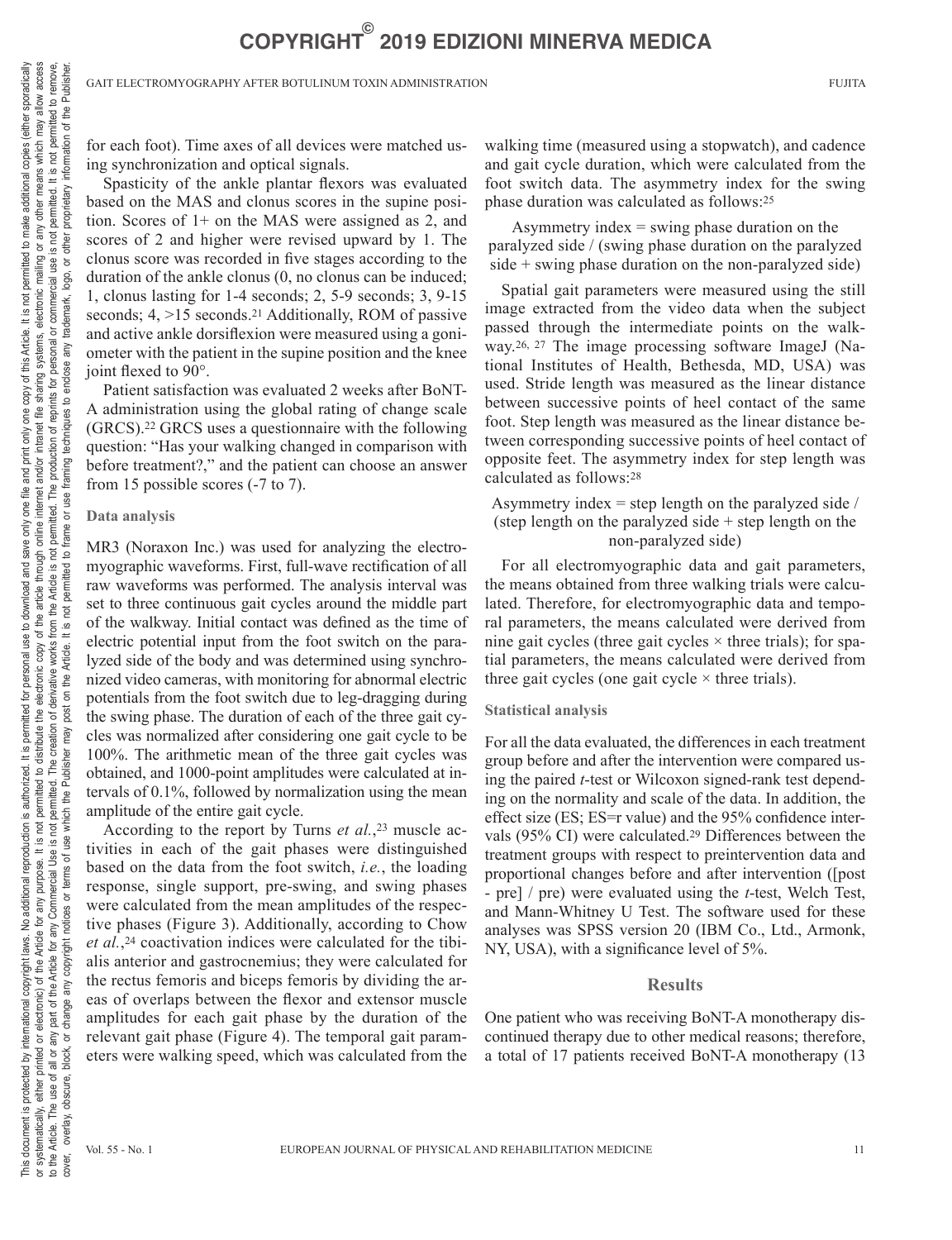for each foot). Time axes of all devices were matched using synchronization and optical signals.

Spasticity of the ankle plantar flexors was evaluated based on the MAS and clonus scores in the supine position. Scores of 1+ on the MAS were assigned as 2, and scores of 2 and higher were revised upward by 1. The clonus score was recorded in five stages according to the duration of the ankle clonus (0, no clonus can be induced; 1, clonus lasting for 1-4 seconds; 2, 5-9 seconds; 3, 9-15 seconds; 4, >15 seconds.<sup>21</sup> Additionally, ROM of passive and active ankle dorsiflexion were measured using a goniometer with the patient in the supine position and the knee joint flexed to 90°.

Patient satisfaction was evaluated 2 weeks after BoNT-A administration using the global rating of change scale (GRCS).22 GRCS uses a questionnaire with the following question: "Has your walking changed in comparison with before treatment?," and the patient can choose an answer from 15 possible scores (-7 to 7).

#### **Data analysis**

proprietary information of the Publisher

other p  $\overline{5}$ logo,

trademark,

endose any

 $\overline{\mathbf{e}}$ 

frame or use framing techniques

the Article. It is not permitted to 1

 $\frac{1}{6}$ post

use which the Publisher may

terms of

MR3 (Noraxon Inc.) was used for analyzing the electromyographic waveforms. First, full-wave rectification of all raw waveforms was performed. The analysis interval was set to three continuous gait cycles around the middle part of the walkway. Initial contact was defined as the time of electric potential input from the foot switch on the paralyzed side of the body and was determined using synchronized video cameras, with monitoring for abnormal electric potentials from the foot switch due to leg-dragging during the swing phase. The duration of each of the three gait cycles was normalized after considering one gait cycle to be 100%. The arithmetic mean of the three gait cycles was obtained, and 1000-point amplitudes were calculated at intervals of 0.1%, followed by normalization using the mean amplitude of the entire gait cycle.

According to the report by Turns *et al.*,23 muscle activities in each of the gait phases were distinguished based on the data from the foot switch, *i.e.*, the loading response, single support, pre-swing, and swing phases were calculated from the mean amplitudes of the respective phases (Figure 3). Additionally, according to Chow et al.,<sup>24</sup> coactivation indices were calculated for the tibialis anterior and gastrocnemius; they were calculated for the rectus femoris and biceps femoris by dividing the areas of overlaps between the flexor and extensor muscle amplitudes for each gait phase by the duration of the relevant gait phase (Figure 4). The temporal gait parameters were walking speed, which was calculated from the walking time (measured using a stopwatch), and cadence and gait cycle duration, which were calculated from the foot switch data. The asymmetry index for the swing phase duration was calculated as follows:25

Asymmetry index = swing phase duration on the paralyzed side / (swing phase duration on the paralyzed side  $+$  swing phase duration on the non-paralyzed side)

Spatial gait parameters were measured using the still image extracted from the video data when the subject passed through the intermediate points on the walkway.26, 27 The image processing software ImageJ (National Institutes of Health, Bethesda, MD, USA) was used. Stride length was measured as the linear distance between successive points of heel contact of the same foot. Step length was measured as the linear distance between corresponding successive points of heel contact of opposite feet. The asymmetry index for step length was calculated as follows:28

Asymmetry index  $=$  step length on the paralyzed side / (step length on the paralyzed side  $+$  step length on the non-paralyzed side)

For all electromyographic data and gait parameters, the means obtained from three walking trials were calculated. Therefore, for electromyographic data and temporal parameters, the means calculated were derived from nine gait cycles (three gait cycles  $\times$  three trials); for spatial parameters, the means calculated were derived from three gait cycles (one gait cycle  $\times$  three trials).

#### **Statistical analysis**

For all the data evaluated, the differences in each treatment group before and after the intervention were compared using the paired *t*-test or Wilcoxon signed-rank test depending on the normality and scale of the data. In addition, the effect size (ES; ES=r value) and the 95% confidence intervals (95% CI) were calculated.29 Differences between the treatment groups with respect to preintervention data and proportional changes before and after intervention ([post - pre] / pre) were evaluated using the *t*-test, Welch Test, and Mann-Whitney U Test. The software used for these analyses was SPSS version 20 (IBM Co., Ltd., Armonk, NY, USA), with a significance level of 5%.

#### **Results**

One patient who was receiving BoNT-A monotherapy discontinued therapy due to other medical reasons; therefore, a total of 17 patients received BoNT-A monotherapy (13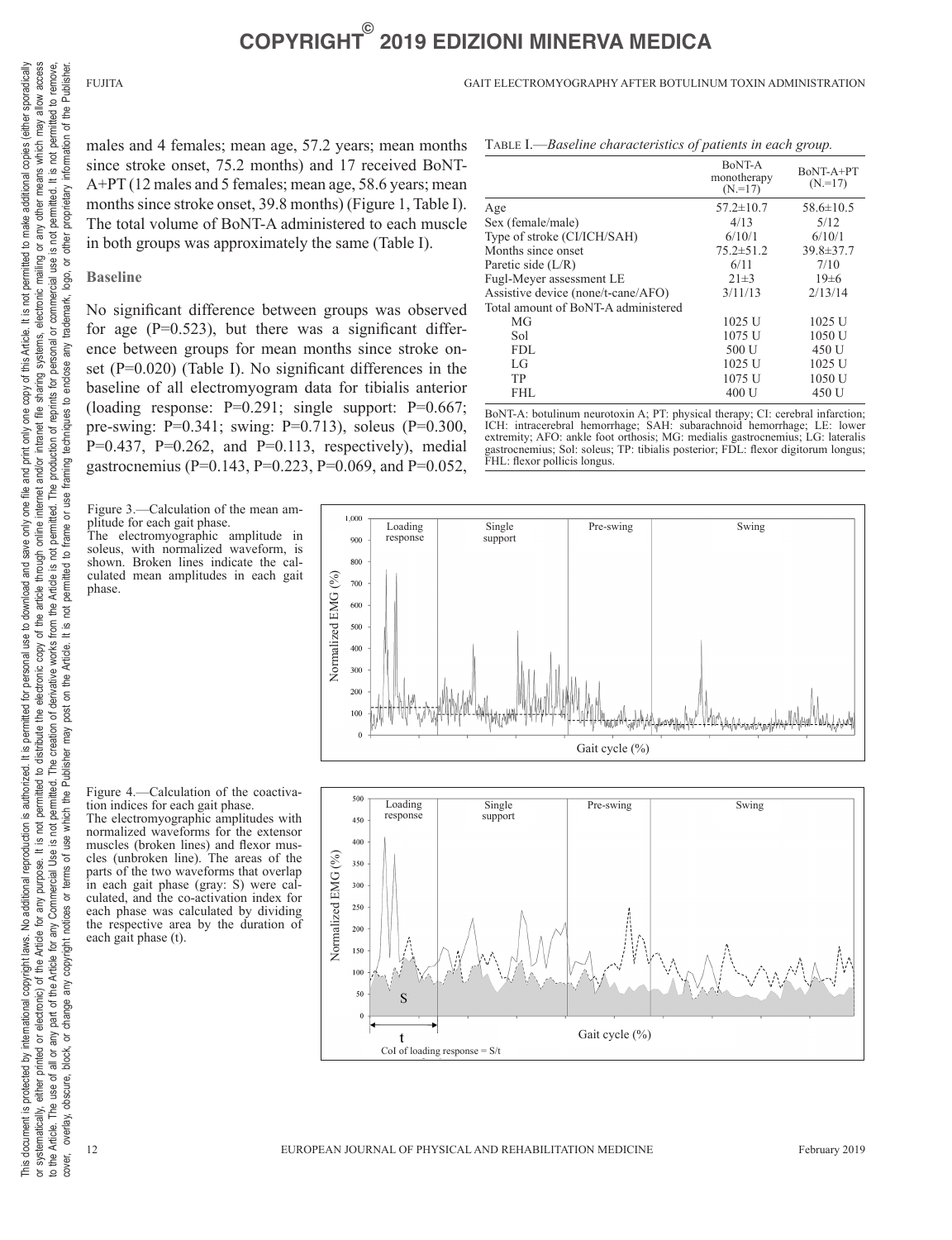FUJITA GAIT ELECTROMYOGRAPHY AFTER BOTULINUM TOXIN ADMINISTRATION

males and 4 females; mean age, 57.2 years; mean months TABLE I.—*Baseline characteristics of patients in each group*. since stroke onset, 75.2 months) and 17 received BoNT-A+PT (12 males and 5 females; mean age, 58.6 years; mean months since stroke onset, 39.8 months) (Figure 1, Table I). The total volume of BoNT-A administered to each muscle in both groups was approximately the same (Table I).

#### **Baseline**

No significant difference between groups was observed for age  $(P=0.523)$ , but there was a significant difference between groups for mean months since stroke onset (P=0.020) (Table I). No significant differences in the baseline of all electromyogram data for tibialis anterior (loading response:  $P=0.291$ ; single support:  $P=0.667$ ; pre-swing: P=0.341; swing: P=0.713), soleus (P=0.300, P=0.437, P=0.262, and P=0.113, respectively), medial gastrocnemius (P=0.143, P=0.223, P=0.069, and P=0.052,

Figure 3.—Calculation of the mean amplitude for each gait phase. The electromyographic amplitude in

soleus, with normalized waveform, is shown. Broken lines indicate the calculated mean amplitudes in each gait phase.

|                                     | BoNT-A<br>monotherapy<br>$(N=17)$ | BoNT-A+PT<br>$(N=17)$ |
|-------------------------------------|-----------------------------------|-----------------------|
| Age                                 | $57.2 \pm 10.7$                   | $58.6 \pm 10.5$       |
| Sex (female/male)                   | 4/13                              | 5/12                  |
| Type of stroke (CI/ICH/SAH)         | 6/10/1                            | 6/10/1                |
| Months since onset                  | $75.2 \pm 51.2$                   | $39.8 \pm 37.7$       |
| Paretic side $(L/R)$                | 6/11                              | 7/10                  |
| Fugl-Meyer assessment LE            | $21\pm3$                          | 19±6                  |
| Assistive device (none/t-cane/AFO)  | 3/11/13                           | 2/13/14               |
| Total amount of BoNT-A administered |                                   |                       |
| MG                                  | 1025 U                            | 1025 U                |
| Sol                                 | 1075 U                            | 1050 U                |
| FDL.                                | 500 U                             | 450 U                 |
| LG                                  | 1025 U                            | 1025 U                |
| TP                                  | 1075 U                            | 1050 U                |
| FHL                                 | 400 U                             | 450 U                 |
|                                     |                                   |                       |

BoNT-A: botulinum neurotoxin A; PT: physical therapy; CI: cerebral infarction; ICH: intracerebral hemorrhage; SAH: subarachnoid hemorrhage; LE: lower extremity; AFO: ankle foot orthosis; MG: medialis gastrocnemius; LG: lateralis gastrocnemius; Sol: soleus; TP: tibialis posterior; FDL: flexor digitorum longus; FHL: flexor pollicis longus.



Figure 4.—Calculation of the coactivation indices for each gait phase. The electromyographic amplitudes with

normalized waveforms for the extensor muscles (broken lines) and flexor mus- cles (unbroken line). The areas of the parts of the two waveforms that overlap in each gait phase (gray: S) were calculated, and the co-activation index for each phase was calculated by dividing the respective area by the duration of each gait phase (t).

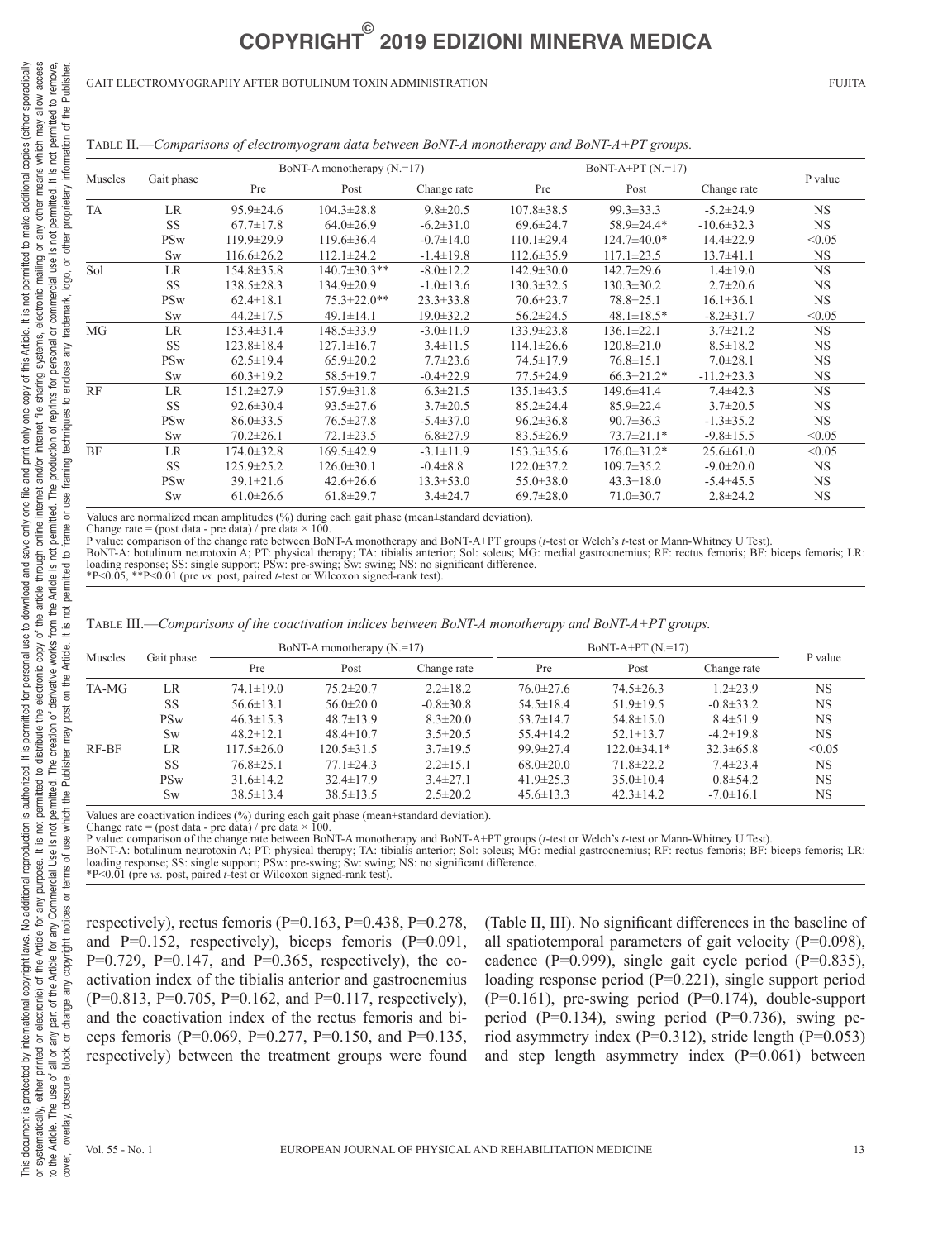GAIT ELECTROMYOGRAPHY AFTER BOTULINUM TOXIN ADMINISTRATION FUJITA

| Gait phase<br>Muscles |            |                  | BoNT-A monotherapy $(N=17)$ |                 |                  | BoNT-A+PT $(N=17)$ |                  |           |  |
|-----------------------|------------|------------------|-----------------------------|-----------------|------------------|--------------------|------------------|-----------|--|
|                       |            | Pre              | Post                        | Change rate     | Pre              | Post               | Change rate      | P value   |  |
| <b>TA</b>             | <b>LR</b>  | $95.9 \pm 24.6$  | $104.3 \pm 28.8$            | $9.8 \pm 20.5$  | $107.8 \pm 38.5$ | $99.3 \pm 33.3$    | $-5.2 \pm 24.9$  | <b>NS</b> |  |
|                       | <b>SS</b>  | $67.7 \pm 17.8$  | $64.0 \pm 26.9$             | $-6.2 \pm 31.0$ | $69.6 \pm 24.7$  | 58.9±24.4*         | $-10.6 \pm 32.3$ | <b>NS</b> |  |
|                       | <b>PSw</b> | $119.9 \pm 29.9$ | $119.6 \pm 36.4$            | $-0.7 \pm 14.0$ | $110.1 \pm 29.4$ | $124.7\pm 40.0*$   | $14.4 \pm 22.9$  | < 0.05    |  |
|                       | <b>Sw</b>  | $116.6 \pm 26.2$ | $112.1 \pm 24.2$            | $-1.4 \pm 19.8$ | $112.6 \pm 35.9$ | $117.1 \pm 23.5$   | $13.7 \pm 41.1$  | <b>NS</b> |  |
| Sol                   | <b>LR</b>  | $154.8 \pm 35.8$ | $140.7 \pm 30.3$ **         | $-8.0 \pm 12.2$ | $142.9 \pm 30.0$ | $142.7 \pm 29.6$   | $1.4 \pm 19.0$   | <b>NS</b> |  |
|                       | <b>SS</b>  | $138.5 \pm 28.3$ | $134.9 \pm 20.9$            | $-1.0 \pm 13.6$ | $130.3 \pm 32.5$ | $130.3 \pm 30.2$   | $2.7 \pm 20.6$   | <b>NS</b> |  |
|                       | PSw        | $62.4 \pm 18.1$  | $75.3 \pm 22.0$ **          | $23.3 \pm 33.8$ | $70.6 \pm 23.7$  | $78.8 \pm 25.1$    | $16.1 \pm 36.1$  | <b>NS</b> |  |
|                       | <b>Sw</b>  | $44.2 \pm 17.5$  | $49.1 \pm 14.1$             | $19.0 \pm 32.2$ | $56.2 \pm 24.5$  | $48.1 \pm 18.5$ *  | $-8.2 \pm 31.7$  | < 0.05    |  |
| MG                    | LR         | $153.4 \pm 31.4$ | $148.5 \pm 33.9$            | $-3.0 \pm 11.9$ | $133.9 \pm 23.8$ | $136.1 \pm 22.1$   | $3.7 \pm 21.2$   | <b>NS</b> |  |
|                       | <b>SS</b>  | $123.8 \pm 18.4$ | $127.1 \pm 16.7$            | $3.4 \pm 11.5$  | $114.1 \pm 26.6$ | $120.8 \pm 21.0$   | $8.5 \pm 18.2$   | <b>NS</b> |  |
|                       | <b>PSw</b> | $62.5 \pm 19.4$  | $65.9 \pm 20.2$             | $7.7 \pm 23.6$  | $74.5 \pm 17.9$  | $76.8 \pm 15.1$    | $7.0 \pm 28.1$   | <b>NS</b> |  |
|                       | <b>Sw</b>  | $60.3 \pm 19.2$  | $58.5 \pm 19.7$             | $-0.4 \pm 22.9$ | $77.5 \pm 24.9$  | $66.3 \pm 21.2*$   | $-11.2 \pm 23.3$ | <b>NS</b> |  |
| RF                    | LR         | $151.2 \pm 27.9$ | $157.9 \pm 31.8$            | $6.3 \pm 21.5$  | $135.1 \pm 43.5$ | 149.6±41.4         | $7.4 \pm 42.3$   | <b>NS</b> |  |
|                       | <b>SS</b>  | $92.6 \pm 30.4$  | $93.5 \pm 27.6$             | $3.7 \pm 20.5$  | $85.2 \pm 24.4$  | $85.9 \pm 22.4$    | $3.7 \pm 20.5$   | <b>NS</b> |  |
|                       | <b>PSw</b> | $86.0 \pm 33.5$  | $76.5 \pm 27.8$             | $-5.4 \pm 37.0$ | $96.2 \pm 36.8$  | $90.7 \pm 36.3$    | $-1.3 \pm 35.2$  | <b>NS</b> |  |
|                       | <b>Sw</b>  | $70.2 \pm 26.1$  | $72.1 \pm 23.5$             | $6.8 \pm 27.9$  | $83.5 \pm 26.9$  | $73.7 \pm 21.1*$   | $-9.8 \pm 15.5$  | < 0.05    |  |
| <b>BF</b>             | <b>LR</b>  | $174.0 \pm 32.8$ | $169.5 \pm 42.9$            | $-3.1 \pm 11.9$ | $153.3 \pm 35.6$ | $176.0 \pm 31.2^*$ | $25.6 \pm 61.0$  | < 0.05    |  |
|                       | <b>SS</b>  | $125.9 \pm 25.2$ | $126.0 \pm 30.1$            | $-0.4 \pm 8.8$  | $122.0 \pm 37.2$ | $109.7 \pm 35.2$   | $-9.0 \pm 20.0$  | <b>NS</b> |  |
|                       | <b>PSw</b> | $39.1 \pm 21.6$  | $42.6 \pm 26.6$             | $13.3 \pm 53.0$ | $55.0 \pm 38.0$  | $43.3 \pm 18.0$    | $-5.4 \pm 45.5$  | <b>NS</b> |  |
|                       | Sw         | $61.0 \pm 26.6$  | $61.8 \pm 29.7$             | $3.4 \pm 24.7$  | $69.7 \pm 28.0$  | $71.0 \pm 30.7$    | $2.8 \pm 24.2$   | <b>NS</b> |  |

Table II.—*Comparisons of electromyogram data between BoNT-A monotherapy and BoNT-A+PT groups.*

Values are normalized mean amplitudes (%) during each gait phase (mean±standard deviation).

Change rate = (post data - pre data) / pre data  $\times$  100.

P value: comparison of the change rate between BoNT-A monotherapy and BoNT-A+PT groups (*t*-test or Welch's *t*-test or Mann-Whitney U Test).

BoNT-A: botulinum neurotoxin A; PT: physical therapy; TA: tibialis anterior; Sol: soleus; MG: medial gastrocnemius; RF: rectus femoris; BF: biceps femoris; LR: loading response; SS: single support; PSw: pre-swing; Sw: swin

| TABLE III.—Comparisons of the coactivation indices between BoNT-A monotherapy and BoNT-A+PT groups. |  |  |  |  |  |
|-----------------------------------------------------------------------------------------------------|--|--|--|--|--|
|                                                                                                     |  |  |  |  |  |

| Muscles |            |                  | BoNT-A monotherapy $(N=17)$ |                 | BoNT-A+PT $(N=17)$ |                   |                 |           |
|---------|------------|------------------|-----------------------------|-----------------|--------------------|-------------------|-----------------|-----------|
|         | Gait phase | Pre              | Post                        | Change rate     | Pre                | Post              | Change rate     | P value   |
| TA-MG   | LR         | $74.1 \pm 19.0$  | $75.2 \pm 20.7$             | $2.2 \pm 18.2$  | $76.0 \pm 27.6$    | $74.5 \pm 26.3$   | $1.2 \pm 23.9$  | <b>NS</b> |
|         | <b>SS</b>  | $56.6 \pm 13.1$  | $56.0 \pm 20.0$             | $-0.8 \pm 30.8$ | $54.5 \pm 18.4$    | $51.9 \pm 19.5$   | $-0.8 \pm 33.2$ | <b>NS</b> |
|         | <b>PSw</b> | $46.3 \pm 15.3$  | $48.7 \pm 13.9$             | $8.3 \pm 20.0$  | $53.7 \pm 14.7$    | $54.8 \pm 15.0$   | $8.4 \pm 51.9$  | NS        |
|         | <b>Sw</b>  | $48.2 \pm 12.1$  | $48.4 \pm 10.7$             | $3.5 \pm 20.5$  | $55.4 \pm 14.2$    | $52.1 \pm 13.7$   | $-4.2 \pm 19.8$ | <b>NS</b> |
| RF-BF   | LR.        | $117.5 \pm 26.0$ | $120.5 \pm 31.5$            | $3.7 \pm 19.5$  | $99.9 \pm 27.4$    | $122.0 \pm 34.1*$ | $32.3 \pm 65.8$ | < 0.05    |
|         | <b>SS</b>  | $76.8 \pm 25.1$  | $77.1 \pm 24.3$             | $2.2 \pm 15.1$  | $68.0 \pm 20.0$    | $71.8 \pm 22.2$   | $7.4 \pm 23.4$  | <b>NS</b> |
|         | <b>PSw</b> | $31.6 \pm 14.2$  | $32.4 \pm 17.9$             | $3.4 \pm 27.1$  | $41.9 \pm 25.3$    | $35.0 \pm 10.4$   | $0.8 \pm 54.2$  | <b>NS</b> |
|         | <b>Sw</b>  | $38.5 \pm 13.4$  | $38.5 \pm 13.5$             | $2.5 \pm 20.2$  | $45.6 \pm 13.3$    | $42.3 \pm 14.2$   | $-7.0 \pm 16.1$ | <b>NS</b> |

Values are coactivation indices (%) during each gait phase (mean±standard deviation).

Change rate = (post data - pre data) / pre data  $\times$  100. P value: comparison of the change rate between BoNT-A monotherapy and BoNT-A+PT groups (*t*-test or Welch's *t*-test or Mann-Whitney U Test).

BoNT-A: botulinum neurotoxin A; PT: physical therapy; TA: tibialis anterior; Sol: soleus; MG: medial gastrocnemius; RF: rectus femoris; BF: biceps femoris; LR: loading response; SS: single support; PSw: pre-swing; Sw: swin

respectively), rectus femoris (P=0.163, P=0.438, P=0.278, and P=0.152, respectively), biceps femoris (P=0.091, P=0.729, P=0.147, and P=0.365, respectively), the coactivation index of the tibialis anterior and gastrocnemius (P=0.813, P=0.705, P=0.162, and P=0.117, respectively), and the coactivation index of the rectus femoris and biceps femoris (P=0.069, P=0.277, P=0.150, and P=0.135, respectively) between the treatment groups were found (Table II, III). No significant differences in the baseline of all spatiotemporal parameters of gait velocity (P=0.098), cadence (P=0.999), single gait cycle period (P=0.835), loading response period (P=0.221), single support period  $(P=0.161)$ , pre-swing period  $(P=0.174)$ , double-support period  $(P=0.134)$ , swing period  $(P=0.736)$ , swing period asymmetry index (P=0.312), stride length (P=0.053) and step length asymmetry index (P=0.061) between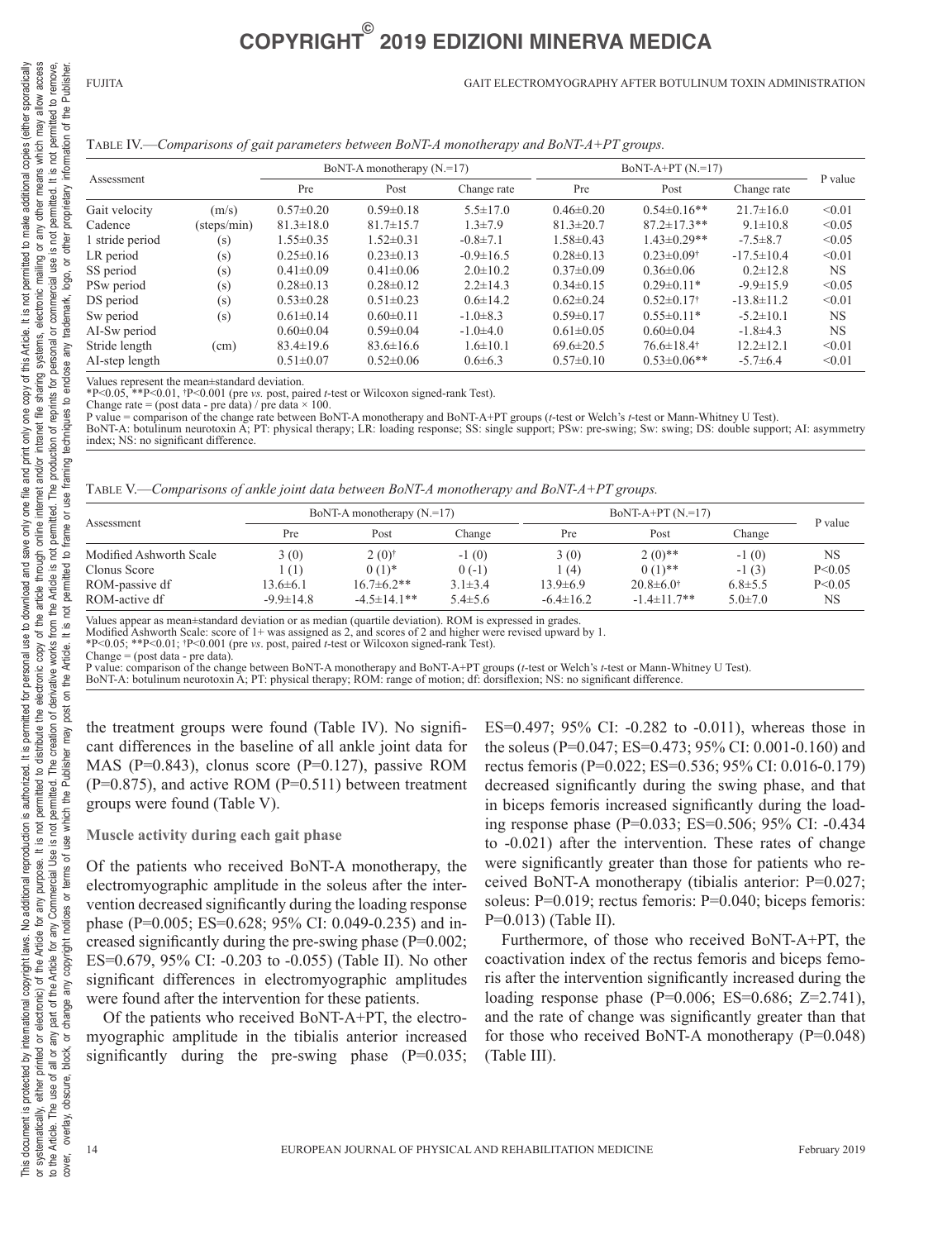FUJITA GAIT ELECTROMYOGRAPHY AFTER BOTULINUM TOXIN ADMINISTRATION

|  |  |  | TABLE IV.—Comparisons of gait parameters between BoNT-A monotherapy and BoNT-A+PT groups. |  |  |  |  |
|--|--|--|-------------------------------------------------------------------------------------------|--|--|--|--|
|--|--|--|-------------------------------------------------------------------------------------------|--|--|--|--|

|                        |             | BoNT-A monotherapy $(N=17)$ |                 |                 | BoNT-A+PT $(N=17)$ |                              |                  |           |
|------------------------|-------------|-----------------------------|-----------------|-----------------|--------------------|------------------------------|------------------|-----------|
| Assessment             |             | Pre                         | Post            | Change rate     | Pre                | Post                         | Change rate      | P value   |
| Gait velocity          | (m/s)       | $0.57 \pm 0.20$             | $0.59\pm0.18$   | $5.5 \pm 17.0$  | $0.46\pm0.20$      | $0.54\pm0.16**$              | $21.7 \pm 16.0$  | < 0.01    |
| Cadence                | (steps/min) | $81.3 \pm 18.0$             | $81.7 \pm 15.7$ | $1.3 \pm 7.9$   | $81.3 \pm 20.7$    | $87.2 \pm 17.3$ **           | $9.1 \pm 10.8$   | < 0.05    |
| 1 stride period        | (s)         | $1.55 \pm 0.35$             | $1.52 \pm 0.31$ | $-0.8 \pm 7.1$  | $1.58 \pm 0.43$    | $1.43\pm 0.29**$             | $-7.5 \pm 8.7$   | < 0.05    |
| LR period              | (s)         | $0.25 \pm 0.16$             | $0.23 \pm 0.13$ | $-0.9 \pm 16.5$ | $0.28 \pm 0.13$    | $0.23 \pm 0.09$ <sup>†</sup> | $-17.5 \pm 10.4$ | < 0.01    |
| SS period              | (s)         | $0.41 \pm 0.09$             | $0.41 \pm 0.06$ | $2.0 \pm 10.2$  | $0.37\pm0.09$      | $0.36\pm0.06$                | $0.2 \pm 12.8$   | NS.       |
| PS <sub>w</sub> period | (s)         | $0.28 \pm 0.13$             | $0.28 \pm 0.12$ | $2.2 \pm 14.3$  | $0.34\pm0.15$      | $0.29 \pm 0.11*$             | $-9.9 \pm 15.9$  | < 0.05    |
| DS period              | (s)         | $0.53 \pm 0.28$             | $0.51 \pm 0.23$ | $0.6 \pm 14.2$  | $0.62 \pm 0.24$    | $0.52 \pm 0.17$ †            | $-13.8 \pm 11.2$ | < 0.01    |
| Sw period              | (s)         | $0.61 \pm 0.14$             | $0.60 \pm 0.11$ | $-1.0\pm8.3$    | $0.59 \pm 0.17$    | $0.55 \pm 0.11*$             | $-5.2 \pm 10.1$  | NS.       |
| AI-Sw period           |             | $0.60 \pm 0.04$             | $0.59 \pm 0.04$ | $-1.0\pm4.0$    | $0.61 \pm 0.05$    | $0.60 \pm 0.04$              | $-1.8\pm4.3$     | <b>NS</b> |
| Stride length          | (cm)        | $83.4 \pm 19.6$             | $83.6 \pm 16.6$ | $1.6 \pm 10.1$  | $69.6 \pm 20.5$    | $76.6 \pm 18.4^{\dagger}$    | $12.2 \pm 12.1$  | < 0.01    |
| AI-step length         |             | $0.51 \pm 0.07$             | $0.52 \pm 0.06$ | $0.6 \pm 6.3$   | $0.57 \pm 0.10$    | $0.53 \pm 0.06$ **           | $-5.7\pm 6.4$    | < 0.01    |

Values represent the mean±standard deviation.

\*P<0.05, \*\*P<0.01, †P<0.001 (pre *vs.* post, paired *t*-test or Wilcoxon signed-rank Test).

Change rate = (post data - pre data) / pre data  $\times$  100.

P value = comparison of the change rate between BoNT-A monotherapy and BoNT-A+PT groups (*t*-test or Welch's *t*-test or Mann-Whitney U Test).

BoNT-A: botulinum neurotoxin A; PT: physical therapy; LR: loading response; SS: single support; PSw: pre-swing; Sw: swing; DS: double support; AI: asymmetry index; NS: no significant difference.

Table V.—*Comparisons of ankle joint data between BoNT-A monotherapy and BoNT-A+PT groups.*

| Assessment              |                 | BoNT-A monotherapy $(N=17)$ |               | BoNT-A+PT $(N=17)$ | P value                    |               |          |
|-------------------------|-----------------|-----------------------------|---------------|--------------------|----------------------------|---------------|----------|
|                         | Pre             | Post                        | Change        | Pre                | Post                       | Change        |          |
| Modified Ashworth Scale | 3(0)            | $2(0)$ <sup>†</sup>         | $-1(0)$       | 3(0)               | $2(0)$ **                  | $-1(0)$       | NS       |
| Clonus Score            | 1(1)            | $0(1)$ *                    | $0(-1)$       | (4)                | $0(1)$ **                  | $-1(3)$       | P < 0.05 |
| ROM-passive df          | $13.6 \pm 6.1$  | $16.7\pm 6.2**$             | $3.1 \pm 3.4$ | $13.9 \pm 6.9$     | $20.8\pm 6.0$ <sup>†</sup> | $6.8\pm5.5$   | P < 0.05 |
| ROM-active df           | $-9.9 \pm 14.8$ | $-4.5 \pm 14.1$ **          | $5.4\pm 5.6$  | $-6.4 \pm 16.2$    | $-1.4 \pm 11.7$ **         | $5.0{\pm}7.0$ | NS       |

Values appear as mean±standard deviation or as median (quartile deviation). ROM is expressed in grades.

Modified Ashworth Scale: score of 1+ was assigned as 2, and scores of 2 and higher were revised upward by 1.

\*P<0.05; \*\*P<0.01; †P<0.001 (pre *vs*. post, paired *t*-test or Wilcoxon signed-rank Test).

Change  $=$  (post data - pre data).

P value: comparison of the change between BoNT-A monotherapy and BoNT-A+PT groups (*t*-test or Welch's *t*-test or Mann-Whitney U Test).

BoNT-A: botulinum neurotoxin A; PT: physical therapy; ROM: range of motion; df: dorsiflexion; NS: no significant difference.

the treatment groups were found (Table IV). No significant differences in the baseline of all ankle joint data for MAS (P=0.843), clonus score (P=0.127), passive ROM (P=0.875), and active ROM (P=0.511) between treatment groups were found (Table V).

**Muscle activity during each gait phase**

Of the patients who received BoNT-A monotherapy, the electromyographic amplitude in the soleus after the intervention decreased significantly during the loading response phase (P=0.005; ES=0.628; 95% CI: 0.049-0.235) and increased significantly during the pre-swing phase (P=0.002; ES=0.679, 95% CI: -0.203 to -0.055) (Table II). No other significant differences in electromyographic amplitudes were found after the intervention for these patients.

Of the patients who received BoNT-A+PT, the electromyographic amplitude in the tibialis anterior increased significantly during the pre-swing phase  $(P=0.035)$ ; ES=0.497; 95% CI: -0.282 to -0.011), whereas those in the soleus (P=0.047; ES=0.473; 95% CI: 0.001-0.160) and rectus femoris (P=0.022; ES=0.536; 95% CI: 0.016-0.179) decreased significantly during the swing phase, and that in biceps femoris increased significantly during the loading response phase (P=0.033; ES=0.506; 95% CI: -0.434 to -0.021) after the intervention. These rates of change were significantly greater than those for patients who received BoNT-A monotherapy (tibialis anterior: P=0.027; soleus: P=0.019; rectus femoris: P=0.040; biceps femoris:  $P=0.013$ ) (Table II).

Furthermore, of those who received BoNT-A+PT, the coactivation index of the rectus femoris and biceps femoris after the intervention significantly increased during the loading response phase  $(P=0.006; ES=0.686; Z=2.741)$ , and the rate of change was significantly greater than that for those who received BoNT-A monotherapy  $(P=0.048)$ (Table III).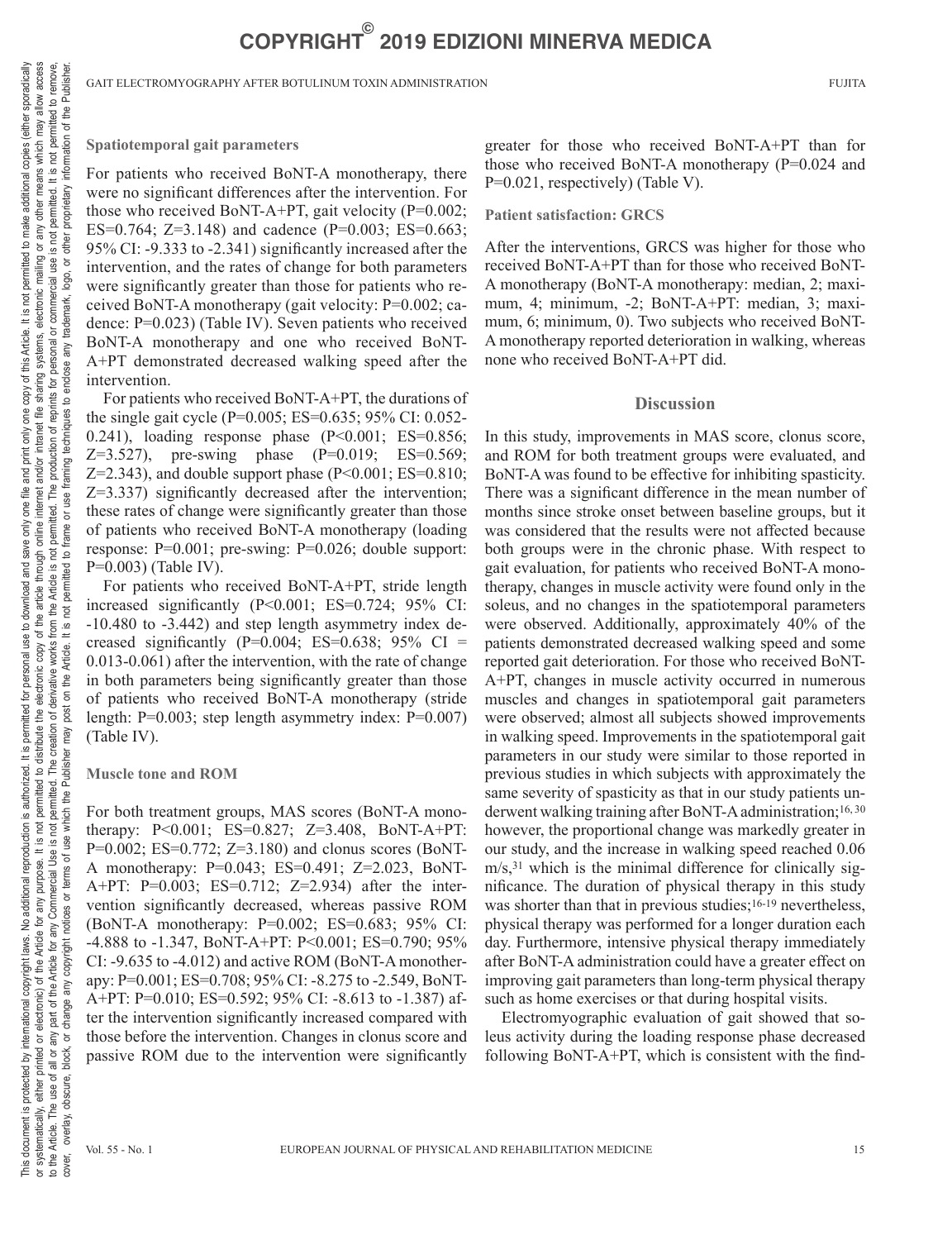GAIT ELECTROMYOGRAPHY AFTER BOTULINUM TOXIN ADMINISTRATION FUJITA

#### **Spatiotemporal gait parameters**

For patients who received BoNT-A monotherapy, there were no significant differences after the intervention. For those who received BoNT-A+PT, gait velocity (P=0.002; ES=0.764; Z=3.148) and cadence (P=0.003; ES=0.663; 95% CI: -9.333 to -2.341) significantly increased after the intervention, and the rates of change for both parameters were significantly greater than those for patients who received BoNT-A monotherapy (gait velocity: P=0.002; cadence: P=0.023) (Table IV). Seven patients who received BoNT-A monotherapy and one who received BoNT-A+PT demonstrated decreased walking speed after the intervention.

For patients who received BoNT-A+PT, the durations of the single gait cycle (P=0.005; ES=0.635; 95% CI: 0.052- 0.241), loading response phase (P<0.001; ES=0.856;  $Z=3.527$ ), pre-swing phase  $(P=0.019; ES=0.569;$  $Z=2.343$ ), and double support phase (P<0.001; ES=0.810; Z=3.337) significantly decreased after the intervention; these rates of change were significantly greater than those of patients who received BoNT-A monotherapy (loading response: P=0.001; pre-swing: P=0.026; double support: P=0.003) (Table IV).

For patients who received BoNT-A+PT, stride length increased significantly (P<0.001; ES=0.724; 95% CI: -10.480 to -3.442) and step length asymmetry index decreased significantly  $(P=0.004; ES=0.638; 95\% CI =$ 0.013-0.061) after the intervention, with the rate of change in both parameters being significantly greater than those of patients who received BoNT-A monotherapy (stride length: P=0.003; step length asymmetry index: P=0.007) (Table IV).

#### **Muscle tone and ROM**

For both treatment groups, MAS scores (BoNT-A monotherapy: P<0.001; ES=0.827; Z=3.408, BoNT-A+PT: P=0.002; ES=0.772; Z=3.180) and clonus scores (BoNT-A monotherapy: P=0.043; ES=0.491; Z=2.023, BoNT-A+PT: P=0.003; ES=0.712; Z=2.934) after the intervention significantly decreased, whereas passive ROM (BoNT-A monotherapy: P=0.002; ES=0.683; 95% CI: -4.888 to -1.347, BoNT-A+PT: P<0.001; ES=0.790; 95% CI: -9.635 to -4.012) and active ROM (BoNT-A monotherapy: P=0.001; ES=0.708; 95% CI: -8.275 to -2.549, BoNT-A+PT: P=0.010; ES=0.592; 95% CI: -8.613 to -1.387) after the intervention significantly increased compared with those before the intervention. Changes in clonus score and passive ROM due to the intervention were significantly greater for those who received BoNT-A+PT than for those who received BoNT-A monotherapy (P=0.024 and P=0.021, respectively) (Table V).

#### **Patient satisfaction: GRCS**

After the interventions, GRCS was higher for those who received BoNT-A+PT than for those who received BoNT-A monotherapy (BoNT-A monotherapy: median, 2; maximum, 4; minimum, -2; BoNT-A+PT: median, 3; maximum, 6; minimum, 0). Two subjects who received BoNT-A monotherapy reported deterioration in walking, whereas none who received BoNT-A+PT did.

#### **Discussion**

In this study, improvements in MAS score, clonus score, and ROM for both treatment groups were evaluated, and BoNT-A was found to be effective for inhibiting spasticity. There was a significant difference in the mean number of months since stroke onset between baseline groups, but it was considered that the results were not affected because both groups were in the chronic phase. With respect to gait evaluation, for patients who received BoNT-A monotherapy, changes in muscle activity were found only in the soleus, and no changes in the spatiotemporal parameters were observed. Additionally, approximately 40% of the patients demonstrated decreased walking speed and some reported gait deterioration. For those who received BoNT-A+PT, changes in muscle activity occurred in numerous muscles and changes in spatiotemporal gait parameters were observed; almost all subjects showed improvements in walking speed. Improvements in the spatiotemporal gait parameters in our study were similar to those reported in previous studies in which subjects with approximately the same severity of spasticity as that in our study patients underwent walking training after BoNT-A administration;16, 30 however, the proportional change was markedly greater in our study, and the increase in walking speed reached 0.06 m/s,<sup>31</sup> which is the minimal difference for clinically significance. The duration of physical therapy in this study was shorter than that in previous studies;<sup>16-19</sup> nevertheless, physical therapy was performed for a longer duration each day. Furthermore, intensive physical therapy immediately after BoNT-A administration could have a greater effect on improving gait parameters than long-term physical therapy such as home exercises or that during hospital visits.

Electromyographic evaluation of gait showed that soleus activity during the loading response phase decreased following BoNT-A+PT, which is consistent with the find-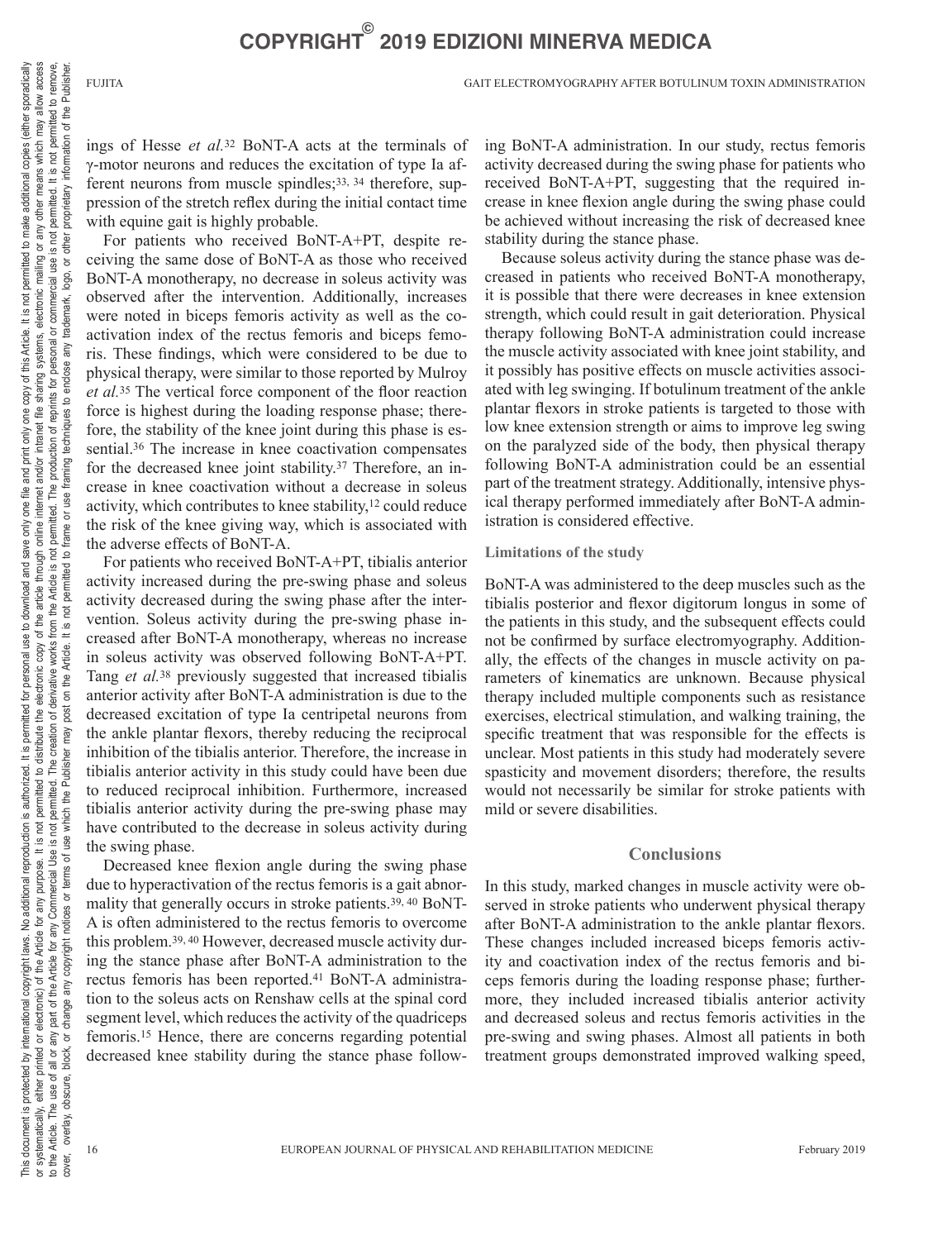FUJITA GAIT ELECTROMYOGRAPHY AFTER BOTULINUM TOXIN ADMINISTRATION

ings of Hesse *et al.*<sup>32</sup> BoNT-A acts at the terminals of γ-motor neurons and reduces the excitation of type Ia afferent neurons from muscle spindles;33, 34 therefore, suppression of the stretch reflex during the initial contact time with equine gait is highly probable.

For patients who received BoNT-A+PT, despite receiving the same dose of BoNT-A as those who received BoNT-A monotherapy, no decrease in soleus activity was observed after the intervention. Additionally, increases were noted in biceps femoris activity as well as the coactivation index of the rectus femoris and biceps femoris. These findings, which were considered to be due to physical therapy, were similar to those reported by Mulroy *et al.*35 The vertical force component of the floor reaction force is highest during the loading response phase; therefore, the stability of the knee joint during this phase is essential.<sup>36</sup> The increase in knee coactivation compensates for the decreased knee joint stability.<sup>37</sup> Therefore, an increase in knee coactivation without a decrease in soleus activity, which contributes to knee stability,12 could reduce the risk of the knee giving way, which is associated with the adverse effects of BoNT-A.

For patients who received BoNT-A+PT, tibialis anterior activity increased during the pre-swing phase and soleus activity decreased during the swing phase after the intervention. Soleus activity during the pre-swing phase increased after BoNT-A monotherapy, whereas no increase in soleus activity was observed following BoNT-A+PT. Tang *et al.*38 previously suggested that increased tibialis anterior activity after BoNT-A administration is due to the decreased excitation of type Ia centripetal neurons from the ankle plantar flexors, thereby reducing the reciprocal inhibition of the tibialis anterior. Therefore, the increase in tibialis anterior activity in this study could have been due to reduced reciprocal inhibition. Furthermore, increased tibialis anterior activity during the pre-swing phase may have contributed to the decrease in soleus activity during the swing phase.

Decreased knee flexion angle during the swing phase due to hyperactivation of the rectus femoris is a gait abnormality that generally occurs in stroke patients.39, 40 BoNT-A is often administered to the rectus femoris to overcome this problem.39, 40 However, decreased muscle activity during the stance phase after BoNT-A administration to the rectus femoris has been reported.41 BoNT-A administration to the soleus acts on Renshaw cells at the spinal cord segment level, which reduces the activity of the quadriceps femoris.15 Hence, there are concerns regarding potential decreased knee stability during the stance phase following BoNT-A administration. In our study, rectus femoris activity decreased during the swing phase for patients who received BoNT-A+PT, suggesting that the required increase in knee flexion angle during the swing phase could be achieved without increasing the risk of decreased knee stability during the stance phase.

Because soleus activity during the stance phase was decreased in patients who received BoNT-A monotherapy, it is possible that there were decreases in knee extension strength, which could result in gait deterioration. Physical therapy following BoNT-A administration could increase the muscle activity associated with knee joint stability, and it possibly has positive effects on muscle activities associated with leg swinging. If botulinum treatment of the ankle plantar flexors in stroke patients is targeted to those with low knee extension strength or aims to improve leg swing on the paralyzed side of the body, then physical therapy following BoNT-A administration could be an essential part of the treatment strategy. Additionally, intensive physical therapy performed immediately after BoNT-A administration is considered effective.

#### **Limitations of the study**

BoNT-A was administered to the deep muscles such as the tibialis posterior and flexor digitorum longus in some of the patients in this study, and the subsequent effects could not be confirmed by surface electromyography. Additionally, the effects of the changes in muscle activity on parameters of kinematics are unknown. Because physical therapy included multiple components such as resistance exercises, electrical stimulation, and walking training, the specific treatment that was responsible for the effects is unclear. Most patients in this study had moderately severe spasticity and movement disorders; therefore, the results would not necessarily be similar for stroke patients with mild or severe disabilities.

#### **Conclusions**

In this study, marked changes in muscle activity were observed in stroke patients who underwent physical therapy after BoNT-A administration to the ankle plantar flexors. These changes included increased biceps femoris activity and coactivation index of the rectus femoris and biceps femoris during the loading response phase; furthermore, they included increased tibialis anterior activity and decreased soleus and rectus femoris activities in the pre-swing and swing phases. Almost all patients in both treatment groups demonstrated improved walking speed,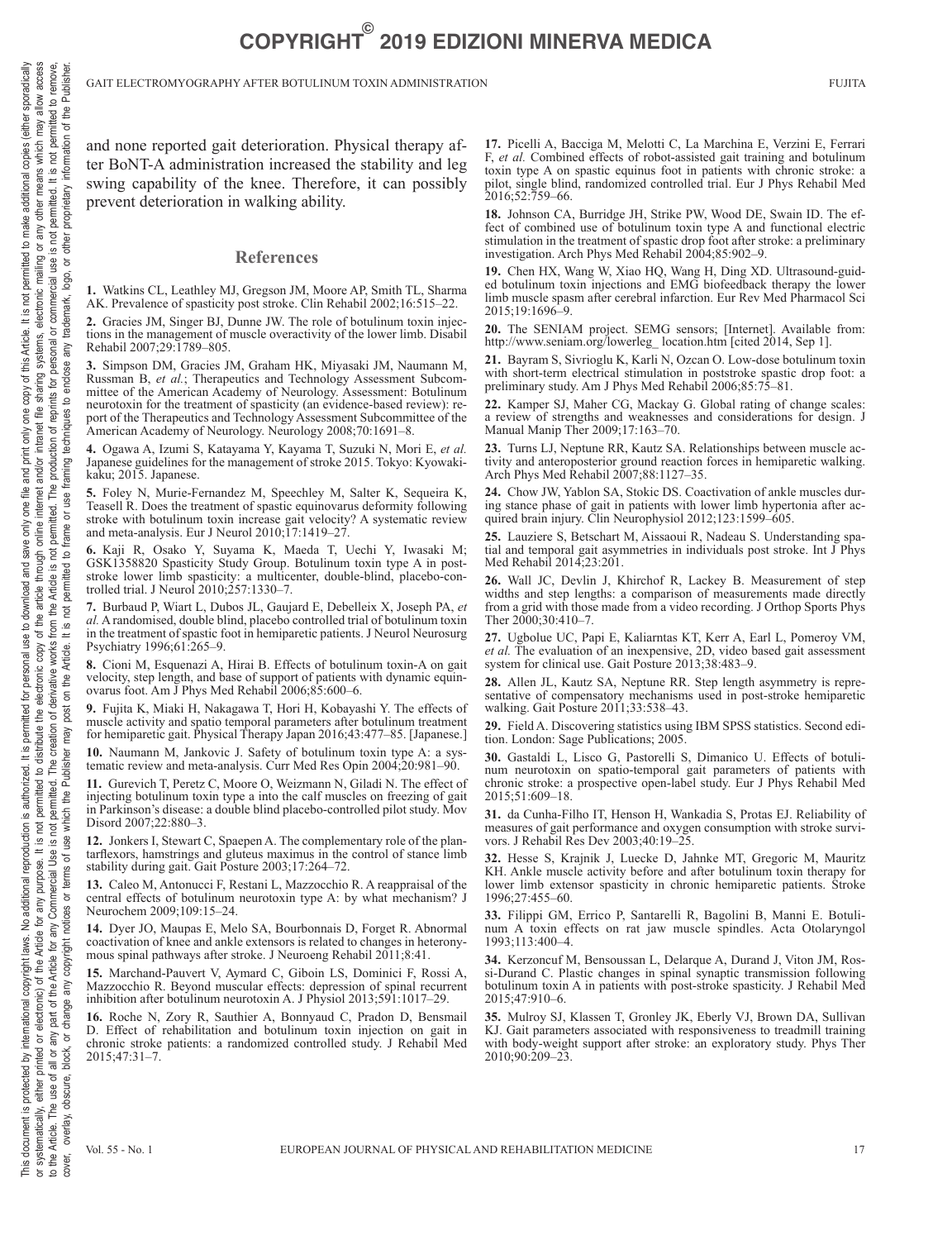GAIT ELECTROMYOGRAPHY AFTER BOTULINUM TOXIN ADMINISTRATION FULL AND THE CONTROL OF THE FUJITA

and none reported gait deterioration. Physical therapy after BoNT-A administration increased the stability and leg swing capability of the knee. Therefore, it can possibly prevent deterioration in walking ability.

#### **References**

**1.** Watkins CL, Leathley MJ, Gregson JM, Moore AP, Smith TL, Sharma AK. Prevalence of spasticity post stroke. Clin Rehabil 2002;16:515–22.

**2.** Gracies JM, Singer BJ, Dunne JW. The role of botulinum toxin injections in the management of muscle overactivity of the lower limb. Disabil Rehabil 2007;29:1789–805.

**3.** Simpson DM, Gracies JM, Graham HK, Miyasaki JM, Naumann M, Russman B, *et al.*; Therapeutics and Technology Assessment Subcommittee of the American Academy of Neurology. Assessment: Botulinum neurotoxin for the treatment of spasticity (an evidence-based review): report of the Therapeutics and Technology Assessment Subcommittee of the American Academy of Neurology. Neurology 2008;70:1691–8.

**4.** Ogawa A, Izumi S, Katayama Y, Kayama T, Suzuki N, Mori E, *et al.* Japanese guidelines for the management of stroke 2015. Tokyo: Kyowakikaku; 2015. Japanese.

**5.** Foley N, Murie-Fernandez M, Speechley M, Salter K, Sequeira K, Teasell R. Does the treatment of spastic equinovarus deformity following stroke with botulinum toxin increase gait velocity? A systematic review and meta-analysis. Eur J Neurol  $2010$ ;  $\overline{17}$ : 1419–27

**6.** Kaji R, Osako Y, Suyama K, Maeda T, Uechi Y, Iwasaki M; GSK1358820 Spasticity Study Group. Botulinum toxin type A in poststroke lower limb spasticity: a multicenter, double-blind, placebo-controlled trial. J Neurol 2010;257:1330–7.

**7.** Burbaud P, Wiart L, Dubos JL, Gaujard E, Debelleix X, Joseph PA, *et al.* A randomised, double blind, placebo controlled trial of botulinum toxin in the treatment of spastic foot in hemiparetic patients. J Neurol Neurosurg Psychiatry 1996;61:265–9.

**8.** Cioni M, Esquenazi A, Hirai B. Effects of botulinum toxin-A on gait velocity, step length, and base of support of patients with dynamic equinovarus foot. Am J Phys Med Rehabil 2006;85:600–6.

**9.** Fujita K, Miaki H, Nakagawa T, Hori H, Kobayashi Y. The effects of muscle activity and spatio temporal parameters after botulinum treatment for hemiparetic gait. Physical Therapy Japan 2016;43:477–85. [Japanese.]

**10.** Naumann M, Jankovic J. Safety of botulinum toxin type A: a systematic review and meta-analysis. Curr Med Res Opin 2004;20:981–90.

**11.** Gurevich T, Peretz C, Moore O, Weizmann N, Giladi N. The effect of injecting botulinum toxin type a into the calf muscles on freezing of gait in Parkinson's disease: a double blind placebo-controlled pilot study. Mov Disord 2007;22:880–3.

**12.** Jonkers I, Stewart C, Spaepen A. The complementary role of the plantarflexors, hamstrings and gluteus maximus in the control of stance limb stability during gait. Gait Posture 2003;17:264–72.

**13.** Caleo M, Antonucci F, Restani L, Mazzocchio R. A reappraisal of the central effects of botulinum neurotoxin type A: by what mechanism? J Neurochem 2009;109:15–24.

**14.** Dyer JO, Maupas E, Melo SA, Bourbonnais D, Forget R. Abnormal coactivation of knee and ankle extensors is related to changes in heteronymous spinal pathways after stroke. J Neuroeng Rehabil 2011;8:41.

**15.** Marchand-Pauvert V, Aymard C, Giboin LS, Dominici F, Rossi A, Mazzocchio R. Beyond muscular effects: depression of spinal recurrent inhibition after botulinum neurotoxin A. J Physiol 2013;591:1017–29.

**16.** Roche N, Zory R, Sauthier A, Bonnyaud C, Pradon D, Bensmail D. Effect of rehabilitation and botulinum toxin injection on gait in chronic stroke patients: a randomized controlled study. J Rehabil Med 2015;47:31–7.

**17.** Picelli A, Bacciga M, Melotti C, La Marchina E, Verzini E, Ferrari F, *et al.* Combined effects of robot-assisted gait training and botulinum toxin type A on spastic equinus foot in patients with chronic stroke: a pilot, single blind, randomized controlled trial. Eur J Phys Rehabil Med 2016;52:759–66.

**18.** Johnson CA, Burridge JH, Strike PW, Wood DE, Swain ID. The effect of combined use of botulinum toxin type A and functional electric stimulation in the treatment of spastic drop foot after stroke: a preliminary investigation. Arch Phys Med Rehabil 2004;85:902–9.

**19.** Chen HX, Wang W, Xiao HQ, Wang H, Ding XD. Ultrasound-guided botulinum toxin injections and EMG biofeedback therapy the lower limb muscle spasm after cerebral infarction. Eur Rev Med Pharmacol Sci 2015;19:1696–9.

**20.** The SENIAM project. SEMG sensors; [Internet]. Available from: http://www.seniam.org/lowerleg\_ location.htm [cited 2014, Sep 1].

**21.** Bayram S, Sivrioglu K, Karli N, Ozcan O. Low-dose botulinum toxin with short-term electrical stimulation in poststroke spastic drop foot: a preliminary study. Am J Phys Med Rehabil 2006;85:75–81.

**22.** Kamper SJ, Maher CG, Mackay G. Global rating of change scales: a review of strengths and weaknesses and considerations for design. J Manual Manip Ther 2009;17:163–70.

**23.** Turns LJ, Neptune RR, Kautz SA. Relationships between muscle activity and anteroposterior ground reaction forces in hemiparetic walking. Arch Phys Med Rehabil 2007;88:1127–35.

**24.** Chow JW, Yablon SA, Stokic DS. Coactivation of ankle muscles during stance phase of gait in patients with lower limb hypertonia after acquired brain injury. Clin Neurophysiol 2012;123:1599–605.

**25.** Lauziere S, Betschart M, Aissaoui R, Nadeau S. Understanding spatial and temporal gait asymmetries in individuals post stroke. Int J Phys Med Rehabil 2014;23:201.

**26.** Wall JC, Devlin J, Khirchof R, Lackey B. Measurement of step widths and step lengths: a comparison of measurements made directly from a grid with those made from a video recording. J Orthop Sports Phys Ther 2000;30:410–7.

**27.** Ugbolue UC, Papi E, Kaliarntas KT, Kerr A, Earl L, Pomeroy VM, *et al.* The evaluation of an inexpensive, 2D, video based gait assessment system for clinical use. Gait Posture 2013;38:483–9.

**28.** Allen JL, Kautz SA, Neptune RR. Step length asymmetry is representative of compensatory mechanisms used in post-stroke hemiparetic walking. Gait Posture 2011;33:538–43.

**29.** Field A. Discovering statistics using IBM SPSS statistics. Second edition. London: Sage Publications; 2005.

**30.** Gastaldi L, Lisco G, Pastorelli S, Dimanico U. Effects of botulinum neurotoxin on spatio-temporal gait parameters of patients with chronic stroke: a prospective open-label study. Eur J Phys Rehabil Med 2015;51:609–18.

**31.** da Cunha-Filho IT, Henson H, Wankadia S, Protas EJ. Reliability of measures of gait performance and oxygen consumption with stroke survivors. J Rehabil Res Dev 2003;40:19–25.

**32.** Hesse S, Krajnik J, Luecke D, Jahnke MT, Gregoric M, Mauritz KH. Ankle muscle activity before and after botulinum toxin therapy for lower limb extensor spasticity in chronic hemiparetic patients. Stroke 1996;27:455–60.

**33.** Filippi GM, Errico P, Santarelli R, Bagolini B, Manni E. Botulinum A toxin effects on rat jaw muscle spindles. Acta Otolaryngol 1993;113:400–4.

**34.** Kerzoncuf M, Bensoussan L, Delarque A, Durand J, Viton JM, Rossi-Durand C. Plastic changes in spinal synaptic transmission following botulinum toxin A in patients with post-stroke spasticity. J Rehabil Med 2015;47:910–6.

**35.** Mulroy SJ, Klassen T, Gronley JK, Eberly VJ, Brown DA, Sullivan KJ. Gait parameters associated with responsiveness to treadmill training with body-weight support after stroke: an exploratory study. Phys Ther 2010;90:209–23.

cover.